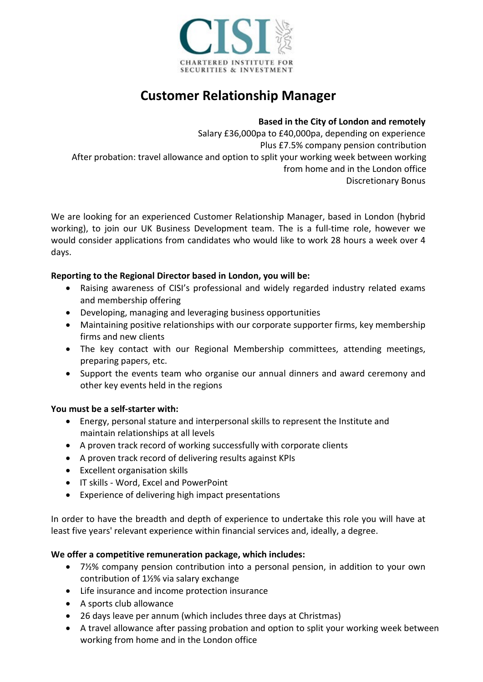

# **Customer Relationship Manager**

### **Based in the City of London and remotely**

Salary £36,000pa to £40,000pa, depending on experience Plus £7.5% company pension contribution After probation: travel allowance and option to split your working week between working from home and in the London office Discretionary Bonus

We are looking for an experienced Customer Relationship Manager, based in London (hybrid working), to join our UK Business Development team. The is a full-time role, however we would consider applications from candidates who would like to work 28 hours a week over 4 days.

### **Reporting to the Regional Director based in London, you will be:**

- Raising awareness of CISI's professional and widely regarded industry related exams and membership offering
- Developing, managing and leveraging business opportunities
- Maintaining positive relationships with our corporate supporter firms, key membership firms and new clients
- The key contact with our Regional Membership committees, attending meetings, preparing papers, etc.
- Support the events team who organise our annual dinners and award ceremony and other key events held in the regions

### **You must be a self-starter with:**

- Energy, personal stature and interpersonal skills to represent the Institute and maintain relationships at all levels
- A proven track record of working successfully with corporate clients
- A proven track record of delivering results against KPIs
- Excellent organisation skills
- IT skills Word, Excel and PowerPoint
- Experience of delivering high impact presentations

In order to have the breadth and depth of experience to undertake this role you will have at least five years' relevant experience within financial services and, ideally, a degree.

### **We offer a competitive remuneration package, which includes:**

- 7½% company pension contribution into a personal pension, in addition to your own contribution of 1½% via salary exchange
- Life insurance and income protection insurance
- A sports club allowance
- 26 days leave per annum (which includes three days at Christmas)
- A travel allowance after passing probation and option to split your working week between working from home and in the London office